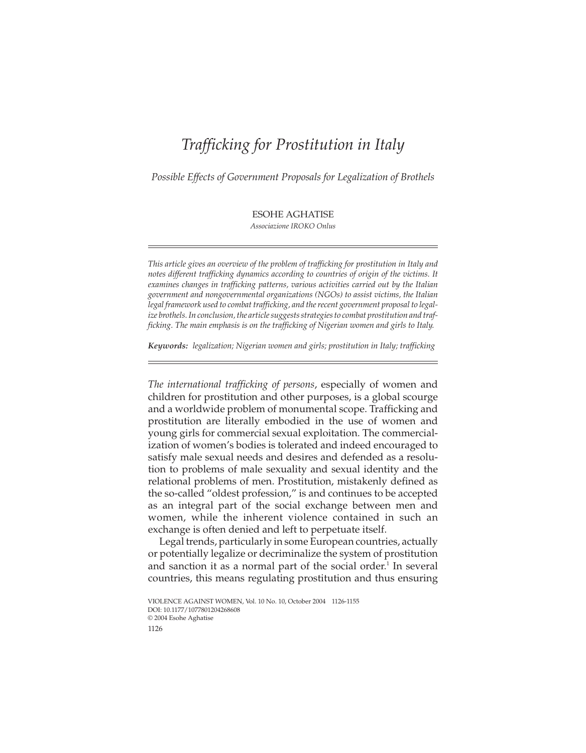# *Trafficking for Prostitution in Italy*

*Possible Effects of Government Proposals for Legalization of Brothels*

### ESOHE AGHATISE

*Associazione IROKO Onlus*

*This article gives an overview of the problem of trafficking for prostitution in Italy and notes different trafficking dynamics according to countries of origin of the victims. It examines changes in trafficking patterns, various activities carried out by the Italian government and nongovernmental organizations (NGOs) to assist victims, the Italian legal framework used to combat trafficking, and the recent government proposal to legalize brothels. In conclusion, the article suggests strategies to combat prostitution and trafficking. The main emphasis is on the trafficking of Nigerian women and girls to Italy.*

*Keywords: legalization; Nigerian women and girls; prostitution in Italy; trafficking*

*The international trafficking of persons*, especially of women and children for prostitution and other purposes, is a global scourge and a worldwide problem of monumental scope. Trafficking and prostitution are literally embodied in the use of women and young girls for commercial sexual exploitation. The commercialization of women's bodies is tolerated and indeed encouraged to satisfy male sexual needs and desires and defended as a resolution to problems of male sexuality and sexual identity and the relational problems of men. Prostitution, mistakenly defined as the so-called "oldest profession," is and continues to be accepted as an integral part of the social exchange between men and women, while the inherent violence contained in such an exchange is often denied and left to perpetuate itself.

Legal trends, particularly in some European countries, actually or potentially legalize or decriminalize the system of prostitution and sanction it as a normal part of the social order.<sup>1</sup> In several countries, this means regulating prostitution and thus ensuring

<sup>1126</sup> VIOLENCE AGAINST WOMEN, Vol. 10 No. 10, October 2004 1126-1155 DOI: 10.1177/1077801204268608 © 2004 Esohe Aghatise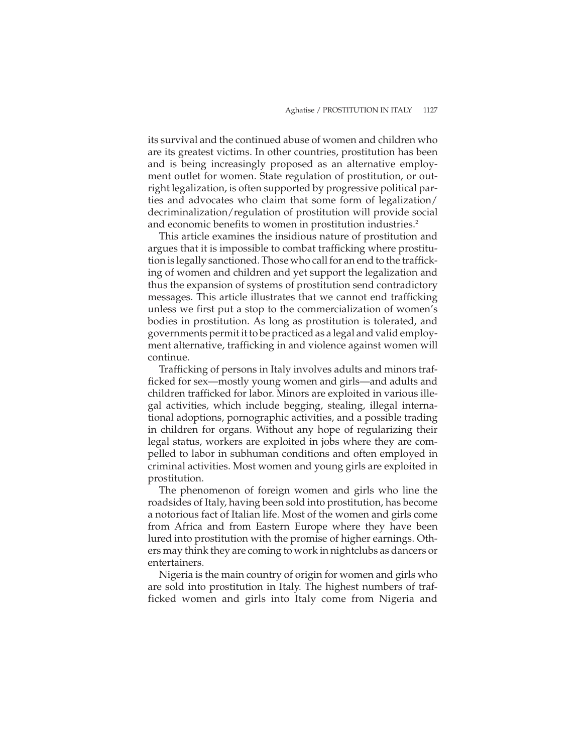its survival and the continued abuse of women and children who are its greatest victims. In other countries, prostitution has been and is being increasingly proposed as an alternative employment outlet for women. State regulation of prostitution, or outright legalization, is often supported by progressive political parties and advocates who claim that some form of legalization/ decriminalization/regulation of prostitution will provide social and economic benefits to women in prostitution industries.<sup>2</sup>

This article examines the insidious nature of prostitution and argues that it is impossible to combat trafficking where prostitution is legally sanctioned. Those who call for an end to the trafficking of women and children and yet support the legalization and thus the expansion of systems of prostitution send contradictory messages. This article illustrates that we cannot end trafficking unless we first put a stop to the commercialization of women's bodies in prostitution. As long as prostitution is tolerated, and governments permit it to be practiced as a legal and valid employment alternative, trafficking in and violence against women will continue.

Trafficking of persons in Italy involves adults and minors trafficked for sex—mostly young women and girls—and adults and children trafficked for labor. Minors are exploited in various illegal activities, which include begging, stealing, illegal international adoptions, pornographic activities, and a possible trading in children for organs. Without any hope of regularizing their legal status, workers are exploited in jobs where they are compelled to labor in subhuman conditions and often employed in criminal activities. Most women and young girls are exploited in prostitution.

The phenomenon of foreign women and girls who line the roadsides of Italy, having been sold into prostitution, has become a notorious fact of Italian life. Most of the women and girls come from Africa and from Eastern Europe where they have been lured into prostitution with the promise of higher earnings. Others may think they are coming to work in nightclubs as dancers or entertainers.

Nigeria is the main country of origin for women and girls who are sold into prostitution in Italy. The highest numbers of trafficked women and girls into Italy come from Nigeria and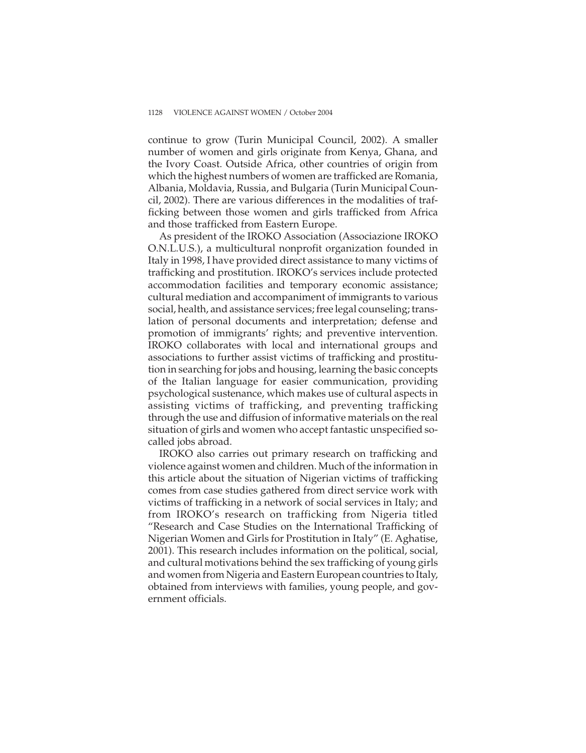continue to grow (Turin Municipal Council, 2002). A smaller number of women and girls originate from Kenya, Ghana, and the Ivory Coast. Outside Africa, other countries of origin from which the highest numbers of women are trafficked are Romania, Albania, Moldavia, Russia, and Bulgaria (Turin Municipal Council, 2002). There are various differences in the modalities of trafficking between those women and girls trafficked from Africa and those trafficked from Eastern Europe.

As president of the IROKO Association (Associazione IROKO O.N.L.U.S.), a multicultural nonprofit organization founded in Italy in 1998, I have provided direct assistance to many victims of trafficking and prostitution. IROKO's services include protected accommodation facilities and temporary economic assistance; cultural mediation and accompaniment of immigrants to various social, health, and assistance services; free legal counseling; translation of personal documents and interpretation; defense and promotion of immigrants' rights; and preventive intervention. IROKO collaborates with local and international groups and associations to further assist victims of trafficking and prostitution in searching for jobs and housing, learning the basic concepts of the Italian language for easier communication, providing psychological sustenance, which makes use of cultural aspects in assisting victims of trafficking, and preventing trafficking through the use and diffusion of informative materials on the real situation of girls and women who accept fantastic unspecified socalled jobs abroad.

IROKO also carries out primary research on trafficking and violence against women and children. Much of the information in this article about the situation of Nigerian victims of trafficking comes from case studies gathered from direct service work with victims of trafficking in a network of social services in Italy; and from IROKO's research on trafficking from Nigeria titled "Research and Case Studies on the International Trafficking of Nigerian Women and Girls for Prostitution in Italy" (E. Aghatise, 2001). This research includes information on the political, social, and cultural motivations behind the sex trafficking of young girls and women from Nigeria and Eastern European countries to Italy, obtained from interviews with families, young people, and government officials.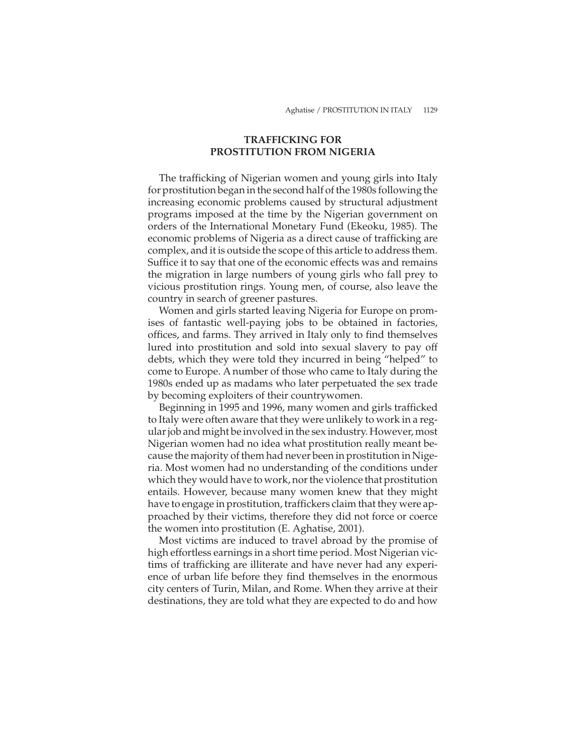# **TRAFFICKING FOR PROSTITUTION FROM NIGERIA**

The trafficking of Nigerian women and young girls into Italy for prostitution began in the second half of the 1980s following the increasing economic problems caused by structural adjustment programs imposed at the time by the Nigerian government on orders of the International Monetary Fund (Ekeoku, 1985). The economic problems of Nigeria as a direct cause of trafficking are complex, and it is outside the scope of this article to address them. Suffice it to say that one of the economic effects was and remains the migration in large numbers of young girls who fall prey to vicious prostitution rings. Young men, of course, also leave the country in search of greener pastures.

Women and girls started leaving Nigeria for Europe on promises of fantastic well-paying jobs to be obtained in factories, offices, and farms. They arrived in Italy only to find themselves lured into prostitution and sold into sexual slavery to pay off debts, which they were told they incurred in being "helped" to come to Europe. A number of those who came to Italy during the 1980s ended up as madams who later perpetuated the sex trade by becoming exploiters of their countrywomen.

Beginning in 1995 and 1996, many women and girls trafficked to Italy were often aware that they were unlikely to work in a regular job and might be involved in the sex industry. However, most Nigerian women had no idea what prostitution really meant because the majority of them had never been in prostitution in Nigeria. Most women had no understanding of the conditions under which they would have to work, nor the violence that prostitution entails. However, because many women knew that they might have to engage in prostitution, traffickers claim that they were approached by their victims, therefore they did not force or coerce the women into prostitution (E. Aghatise, 2001).

Most victims are induced to travel abroad by the promise of high effortless earnings in a short time period. Most Nigerian victims of trafficking are illiterate and have never had any experience of urban life before they find themselves in the enormous city centers of Turin, Milan, and Rome. When they arrive at their destinations, they are told what they are expected to do and how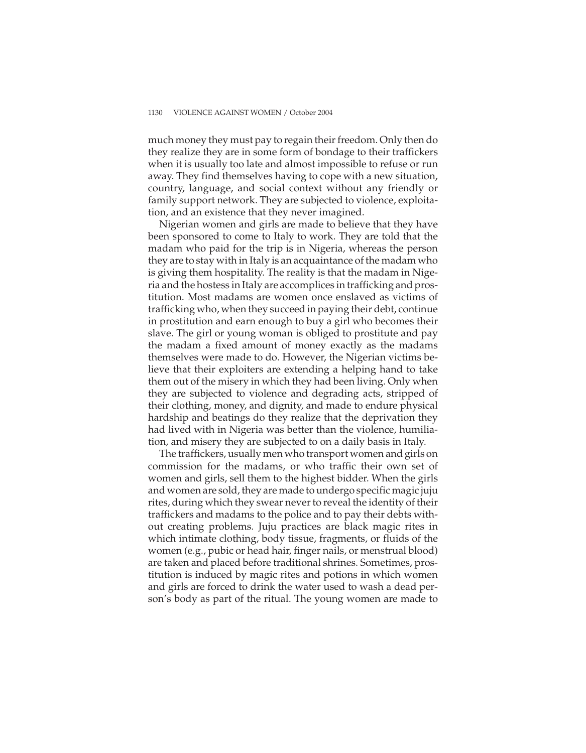much money they must pay to regain their freedom. Only then do they realize they are in some form of bondage to their traffickers when it is usually too late and almost impossible to refuse or run away. They find themselves having to cope with a new situation, country, language, and social context without any friendly or family support network. They are subjected to violence, exploitation, and an existence that they never imagined.

Nigerian women and girls are made to believe that they have been sponsored to come to Italy to work. They are told that the madam who paid for the trip is in Nigeria, whereas the person they are to stay with in Italy is an acquaintance of the madam who is giving them hospitality. The reality is that the madam in Nigeria and the hostess in Italy are accomplices in trafficking and prostitution. Most madams are women once enslaved as victims of trafficking who, when they succeed in paying their debt, continue in prostitution and earn enough to buy a girl who becomes their slave. The girl or young woman is obliged to prostitute and pay the madam a fixed amount of money exactly as the madams themselves were made to do. However, the Nigerian victims believe that their exploiters are extending a helping hand to take them out of the misery in which they had been living. Only when they are subjected to violence and degrading acts, stripped of their clothing, money, and dignity, and made to endure physical hardship and beatings do they realize that the deprivation they had lived with in Nigeria was better than the violence, humiliation, and misery they are subjected to on a daily basis in Italy.

The traffickers, usually men who transport women and girls on commission for the madams, or who traffic their own set of women and girls, sell them to the highest bidder. When the girls and women are sold, they are made to undergo specific magic juju rites, during which they swear never to reveal the identity of their traffickers and madams to the police and to pay their debts without creating problems. Juju practices are black magic rites in which intimate clothing, body tissue, fragments, or fluids of the women (e.g., pubic or head hair, finger nails, or menstrual blood) are taken and placed before traditional shrines. Sometimes, prostitution is induced by magic rites and potions in which women and girls are forced to drink the water used to wash a dead person's body as part of the ritual. The young women are made to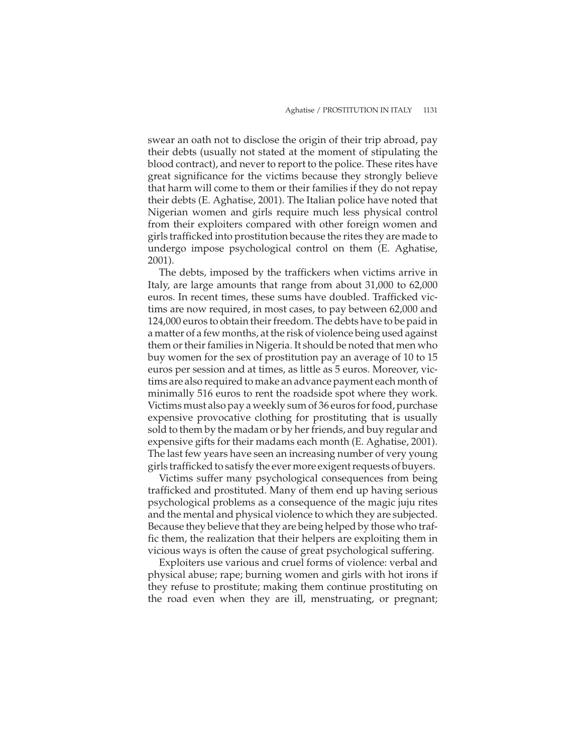swear an oath not to disclose the origin of their trip abroad, pay their debts (usually not stated at the moment of stipulating the blood contract), and never to report to the police. These rites have great significance for the victims because they strongly believe that harm will come to them or their families if they do not repay their debts (E. Aghatise, 2001). The Italian police have noted that Nigerian women and girls require much less physical control from their exploiters compared with other foreign women and girls trafficked into prostitution because the rites they are made to undergo impose psychological control on them (E. Aghatise, 2001).

The debts, imposed by the traffickers when victims arrive in Italy, are large amounts that range from about 31,000 to 62,000 euros. In recent times, these sums have doubled. Trafficked victims are now required, in most cases, to pay between 62,000 and 124,000 euros to obtain their freedom. The debts have to be paid in a matter of a few months, at the risk of violence being used against them or their families in Nigeria. It should be noted that men who buy women for the sex of prostitution pay an average of 10 to 15 euros per session and at times, as little as 5 euros. Moreover, victims are also required to make an advance payment each month of minimally 516 euros to rent the roadside spot where they work. Victims must also pay a weekly sum of 36 euros for food, purchase expensive provocative clothing for prostituting that is usually sold to them by the madam or by her friends, and buy regular and expensive gifts for their madams each month (E. Aghatise, 2001). The last few years have seen an increasing number of very young girls trafficked to satisfy the ever more exigent requests of buyers.

Victims suffer many psychological consequences from being trafficked and prostituted. Many of them end up having serious psychological problems as a consequence of the magic juju rites and the mental and physical violence to which they are subjected. Because they believe that they are being helped by those who traffic them, the realization that their helpers are exploiting them in vicious ways is often the cause of great psychological suffering.

Exploiters use various and cruel forms of violence: verbal and physical abuse; rape; burning women and girls with hot irons if they refuse to prostitute; making them continue prostituting on the road even when they are ill, menstruating, or pregnant;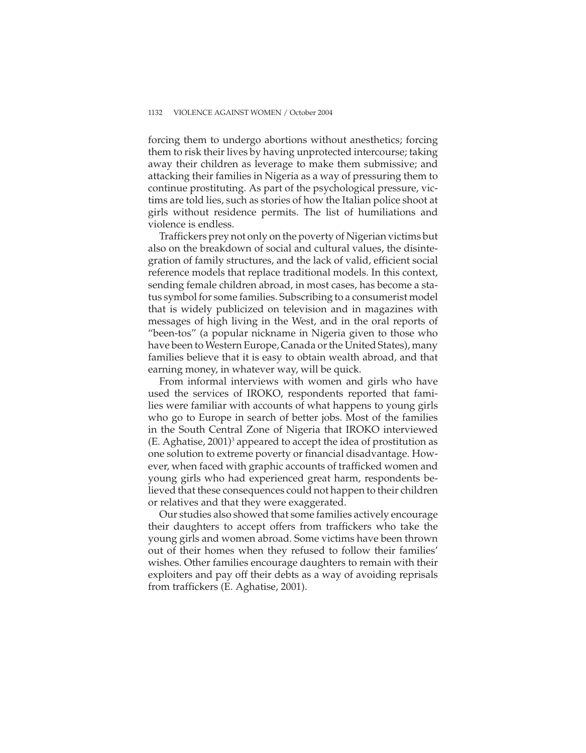forcing them to undergo abortions without anesthetics; forcing them to risk their lives by having unprotected intercourse; taking away their children as leverage to make them submissive; and attacking their families in Nigeria as a way of pressuring them to continue prostituting. As part of the psychological pressure, victims are told lies, such as stories of how the Italian police shoot at girls without residence permits. The list of humiliations and violence is endless.

Traffickers prey not only on the poverty of Nigerian victims but also on the breakdown of social and cultural values, the disintegration of family structures, and the lack of valid, efficient social reference models that replace traditional models. In this context, sending female children abroad, in most cases, has become a status symbol for some families. Subscribing to a consumerist model that is widely publicized on television and in magazines with messages of high living in the West, and in the oral reports of "been-tos" (a popular nickname in Nigeria given to those who have been to Western Europe, Canada or the United States), many families believe that it is easy to obtain wealth abroad, and that earning money, in whatever way, will be quick.

From informal interviews with women and girls who have used the services of IROKO, respondents reported that families were familiar with accounts of what happens to young girls who go to Europe in search of better jobs. Most of the families in the South Central Zone of Nigeria that IROKO interviewed  $(E.$  Aghatise, 2001)<sup>3</sup> appeared to accept the idea of prostitution as one solution to extreme poverty or financial disadvantage. However, when faced with graphic accounts of trafficked women and young girls who had experienced great harm, respondents believed that these consequences could not happen to their children or relatives and that they were exaggerated.

Our studies also showed that some families actively encourage their daughters to accept offers from traffickers who take the young girls and women abroad. Some victims have been thrown out of their homes when they refused to follow their families' wishes. Other families encourage daughters to remain with their exploiters and pay off their debts as a way of avoiding reprisals from traffickers (E. Aghatise, 2001).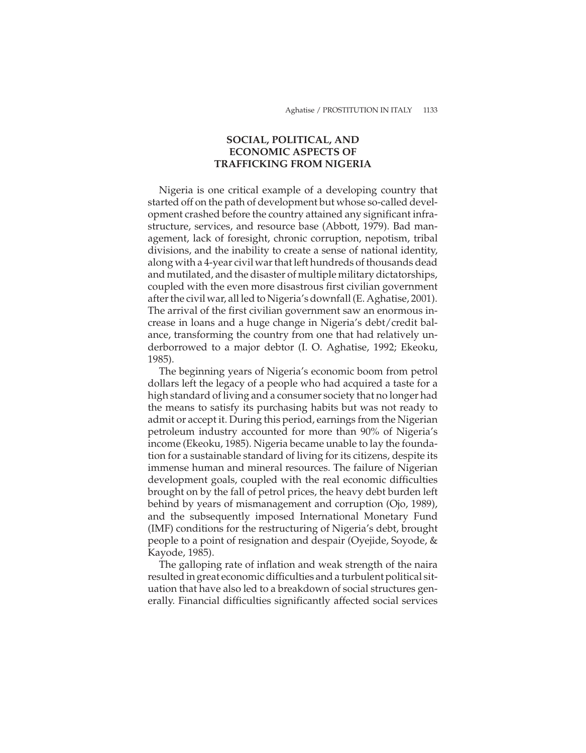# **SOCIAL, POLITICAL, AND ECONOMIC ASPECTS OF TRAFFICKING FROM NIGERIA**

Nigeria is one critical example of a developing country that started off on the path of development but whose so-called development crashed before the country attained any significant infrastructure, services, and resource base (Abbott, 1979). Bad management, lack of foresight, chronic corruption, nepotism, tribal divisions, and the inability to create a sense of national identity, along with a 4-year civil war that left hundreds of thousands dead and mutilated, and the disaster of multiple military dictatorships, coupled with the even more disastrous first civilian government after the civil war, all led to Nigeria's downfall (E. Aghatise, 2001). The arrival of the first civilian government saw an enormous increase in loans and a huge change in Nigeria's debt/credit balance, transforming the country from one that had relatively underborrowed to a major debtor (I. O. Aghatise, 1992; Ekeoku, 1985).

The beginning years of Nigeria's economic boom from petrol dollars left the legacy of a people who had acquired a taste for a high standard of living and a consumer society that no longer had the means to satisfy its purchasing habits but was not ready to admit or accept it. During this period, earnings from the Nigerian petroleum industry accounted for more than 90% of Nigeria's income (Ekeoku, 1985). Nigeria became unable to lay the foundation for a sustainable standard of living for its citizens, despite its immense human and mineral resources. The failure of Nigerian development goals, coupled with the real economic difficulties brought on by the fall of petrol prices, the heavy debt burden left behind by years of mismanagement and corruption (Ojo, 1989), and the subsequently imposed International Monetary Fund (IMF) conditions for the restructuring of Nigeria's debt, brought people to a point of resignation and despair (Oyejide, Soyode, & Kayode, 1985).

The galloping rate of inflation and weak strength of the naira resulted in great economic difficulties and a turbulent political situation that have also led to a breakdown of social structures generally. Financial difficulties significantly affected social services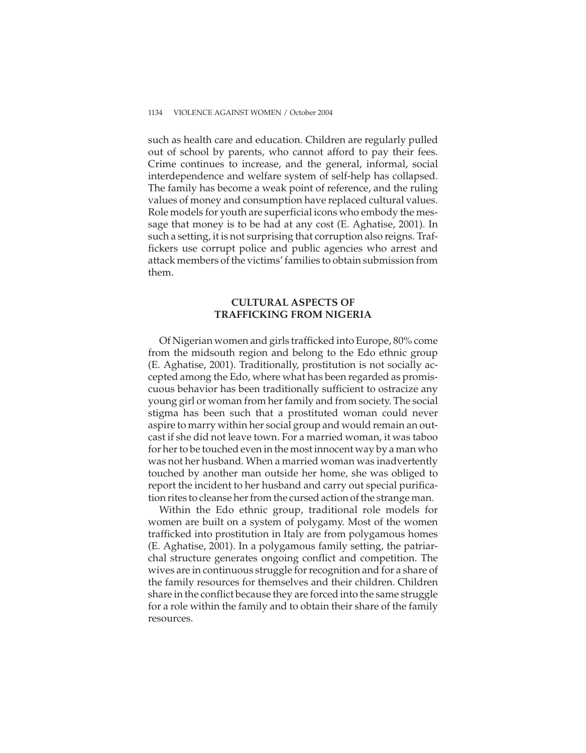such as health care and education. Children are regularly pulled out of school by parents, who cannot afford to pay their fees. Crime continues to increase, and the general, informal, social interdependence and welfare system of self-help has collapsed. The family has become a weak point of reference, and the ruling values of money and consumption have replaced cultural values. Role models for youth are superficial icons who embody the message that money is to be had at any cost (E. Aghatise, 2001). In such a setting, it is not surprising that corruption also reigns. Traffickers use corrupt police and public agencies who arrest and attack members of the victims' families to obtain submission from them.

### **CULTURAL ASPECTS OF TRAFFICKING FROM NIGERIA**

Of Nigerian women and girls trafficked into Europe, 80% come from the midsouth region and belong to the Edo ethnic group (E. Aghatise, 2001). Traditionally, prostitution is not socially accepted among the Edo, where what has been regarded as promiscuous behavior has been traditionally sufficient to ostracize any young girl or woman from her family and from society. The social stigma has been such that a prostituted woman could never aspire to marry within her social group and would remain an outcast if she did not leave town. For a married woman, it was taboo for her to be touched even in the most innocent way by a man who was not her husband. When a married woman was inadvertently touched by another man outside her home, she was obliged to report the incident to her husband and carry out special purification rites to cleanse her from the cursed action of the strange man.

Within the Edo ethnic group, traditional role models for women are built on a system of polygamy. Most of the women trafficked into prostitution in Italy are from polygamous homes (E. Aghatise, 2001). In a polygamous family setting, the patriarchal structure generates ongoing conflict and competition. The wives are in continuous struggle for recognition and for a share of the family resources for themselves and their children. Children share in the conflict because they are forced into the same struggle for a role within the family and to obtain their share of the family resources.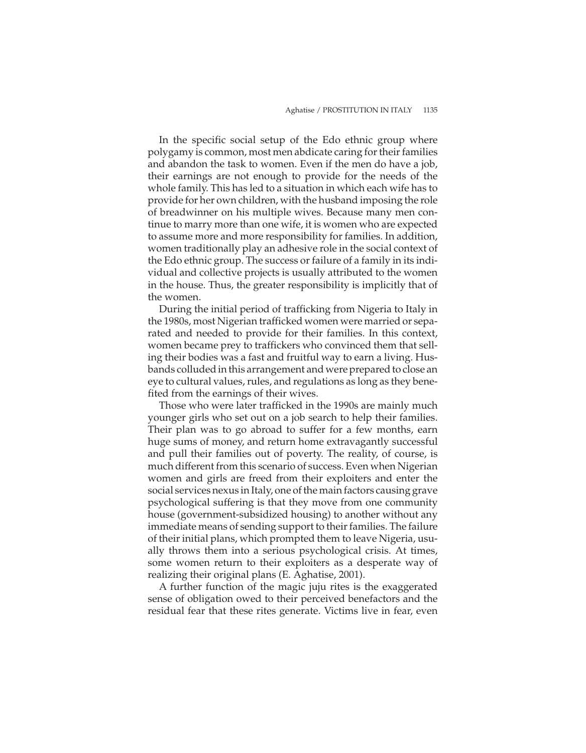In the specific social setup of the Edo ethnic group where polygamy is common, most men abdicate caring for their families and abandon the task to women. Even if the men do have a job, their earnings are not enough to provide for the needs of the whole family. This has led to a situation in which each wife has to provide for her own children, with the husband imposing the role of breadwinner on his multiple wives. Because many men continue to marry more than one wife, it is women who are expected to assume more and more responsibility for families. In addition, women traditionally play an adhesive role in the social context of the Edo ethnic group. The success or failure of a family in its individual and collective projects is usually attributed to the women in the house. Thus, the greater responsibility is implicitly that of the women.

During the initial period of trafficking from Nigeria to Italy in the 1980s, most Nigerian trafficked women were married or separated and needed to provide for their families. In this context, women became prey to traffickers who convinced them that selling their bodies was a fast and fruitful way to earn a living. Husbands colluded in this arrangement and were prepared to close an eye to cultural values, rules, and regulations as long as they benefited from the earnings of their wives.

Those who were later trafficked in the 1990s are mainly much younger girls who set out on a job search to help their families. Their plan was to go abroad to suffer for a few months, earn huge sums of money, and return home extravagantly successful and pull their families out of poverty. The reality, of course, is much different from this scenario of success. Even when Nigerian women and girls are freed from their exploiters and enter the social services nexus in Italy, one of the main factors causing grave psychological suffering is that they move from one community house (government-subsidized housing) to another without any immediate means of sending support to their families. The failure of their initial plans, which prompted them to leave Nigeria, usually throws them into a serious psychological crisis. At times, some women return to their exploiters as a desperate way of realizing their original plans (E. Aghatise, 2001).

A further function of the magic juju rites is the exaggerated sense of obligation owed to their perceived benefactors and the residual fear that these rites generate. Victims live in fear, even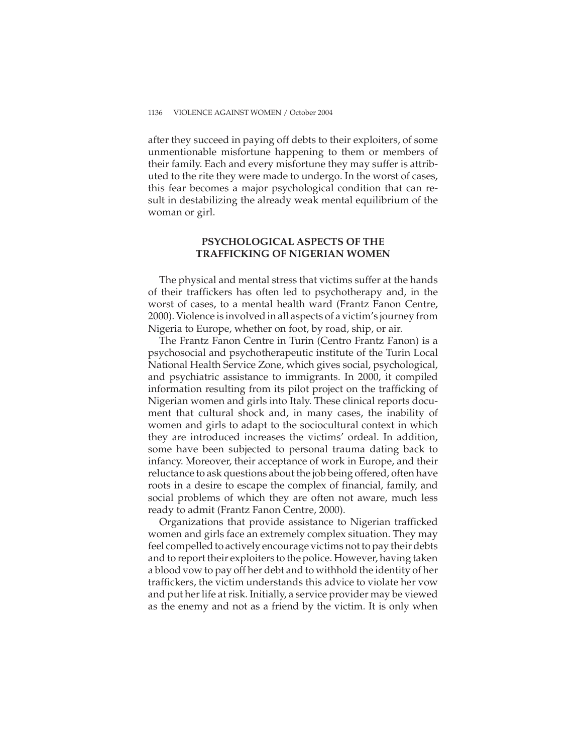after they succeed in paying off debts to their exploiters, of some unmentionable misfortune happening to them or members of their family. Each and every misfortune they may suffer is attributed to the rite they were made to undergo. In the worst of cases, this fear becomes a major psychological condition that can result in destabilizing the already weak mental equilibrium of the woman or girl.

# **PSYCHOLOGICAL ASPECTS OF THE TRAFFICKING OF NIGERIAN WOMEN**

The physical and mental stress that victims suffer at the hands of their traffickers has often led to psychotherapy and, in the worst of cases, to a mental health ward (Frantz Fanon Centre, 2000). Violence is involved in all aspects of a victim's journey from Nigeria to Europe, whether on foot, by road, ship, or air.

The Frantz Fanon Centre in Turin (Centro Frantz Fanon) is a psychosocial and psychotherapeutic institute of the Turin Local National Health Service Zone, which gives social, psychological, and psychiatric assistance to immigrants. In 2000, it compiled information resulting from its pilot project on the trafficking of Nigerian women and girls into Italy. These clinical reports document that cultural shock and, in many cases, the inability of women and girls to adapt to the sociocultural context in which they are introduced increases the victims' ordeal. In addition, some have been subjected to personal trauma dating back to infancy. Moreover, their acceptance of work in Europe, and their reluctance to ask questions about the job being offered, often have roots in a desire to escape the complex of financial, family, and social problems of which they are often not aware, much less ready to admit (Frantz Fanon Centre, 2000).

Organizations that provide assistance to Nigerian trafficked women and girls face an extremely complex situation. They may feel compelled to actively encourage victims not to pay their debts and to report their exploiters to the police. However, having taken a blood vow to pay off her debt and to withhold the identity of her traffickers, the victim understands this advice to violate her vow and put her life at risk. Initially, a service provider may be viewed as the enemy and not as a friend by the victim. It is only when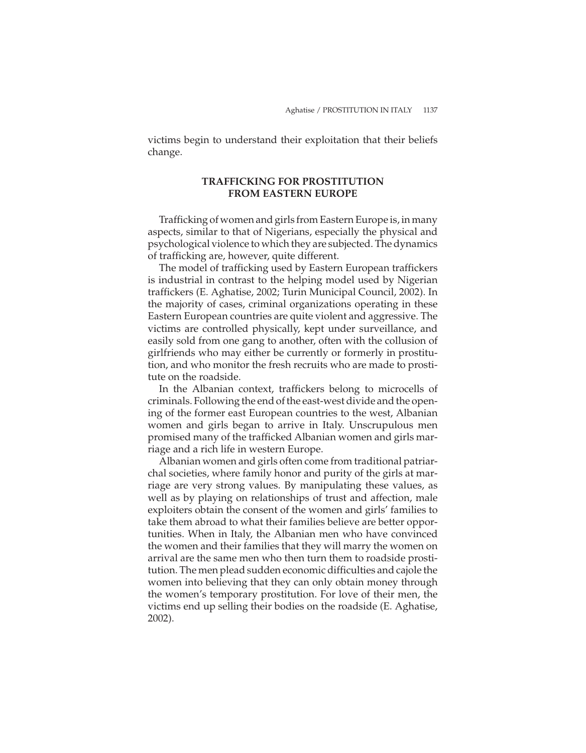victims begin to understand their exploitation that their beliefs change.

### **TRAFFICKING FOR PROSTITUTION FROM EASTERN EUROPE**

Trafficking of women and girls from Eastern Europe is, in many aspects, similar to that of Nigerians, especially the physical and psychological violence to which they are subjected. The dynamics of trafficking are, however, quite different.

The model of trafficking used by Eastern European traffickers is industrial in contrast to the helping model used by Nigerian traffickers (E. Aghatise, 2002; Turin Municipal Council, 2002). In the majority of cases, criminal organizations operating in these Eastern European countries are quite violent and aggressive. The victims are controlled physically, kept under surveillance, and easily sold from one gang to another, often with the collusion of girlfriends who may either be currently or formerly in prostitution, and who monitor the fresh recruits who are made to prostitute on the roadside.

In the Albanian context, traffickers belong to microcells of criminals. Following the end of the east-west divide and the opening of the former east European countries to the west, Albanian women and girls began to arrive in Italy. Unscrupulous men promised many of the trafficked Albanian women and girls marriage and a rich life in western Europe.

Albanian women and girls often come from traditional patriarchal societies, where family honor and purity of the girls at marriage are very strong values. By manipulating these values, as well as by playing on relationships of trust and affection, male exploiters obtain the consent of the women and girls' families to take them abroad to what their families believe are better opportunities. When in Italy, the Albanian men who have convinced the women and their families that they will marry the women on arrival are the same men who then turn them to roadside prostitution. The men plead sudden economic difficulties and cajole the women into believing that they can only obtain money through the women's temporary prostitution. For love of their men, the victims end up selling their bodies on the roadside (E. Aghatise, 2002).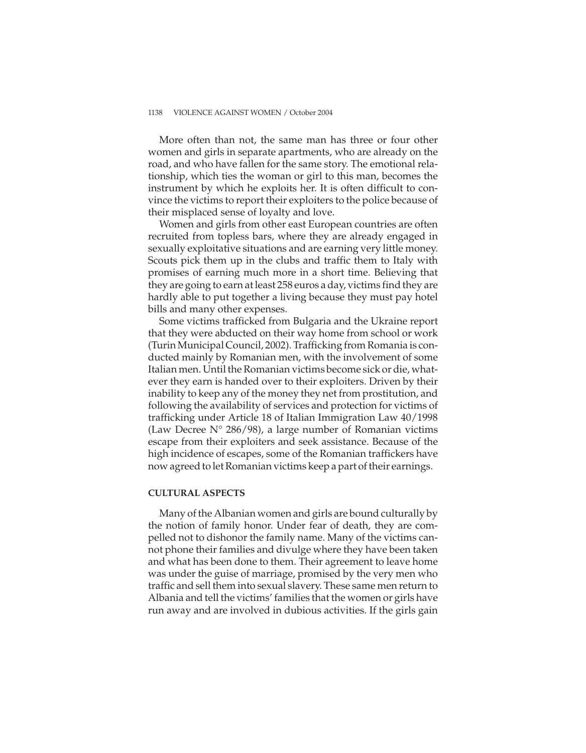#### 1138 VIOLENCE AGAINST WOMEN / October 2004

More often than not, the same man has three or four other women and girls in separate apartments, who are already on the road, and who have fallen for the same story. The emotional relationship, which ties the woman or girl to this man, becomes the instrument by which he exploits her. It is often difficult to convince the victims to report their exploiters to the police because of their misplaced sense of loyalty and love.

Women and girls from other east European countries are often recruited from topless bars, where they are already engaged in sexually exploitative situations and are earning very little money. Scouts pick them up in the clubs and traffic them to Italy with promises of earning much more in a short time. Believing that they are going to earn at least 258 euros a day, victims find they are hardly able to put together a living because they must pay hotel bills and many other expenses.

Some victims trafficked from Bulgaria and the Ukraine report that they were abducted on their way home from school or work (Turin Municipal Council, 2002). Trafficking from Romania is conducted mainly by Romanian men, with the involvement of some Italian men. Until the Romanian victims become sick or die, whatever they earn is handed over to their exploiters. Driven by their inability to keep any of the money they net from prostitution, and following the availability of services and protection for victims of trafficking under Article 18 of Italian Immigration Law 40/1998 (Law Decree  $N^{\circ}$  286/98), a large number of Romanian victims escape from their exploiters and seek assistance. Because of the high incidence of escapes, some of the Romanian traffickers have now agreed to let Romanian victims keep a part of their earnings.

#### **CULTURAL ASPECTS**

Many of the Albanian women and girls are bound culturally by the notion of family honor. Under fear of death, they are compelled not to dishonor the family name. Many of the victims cannot phone their families and divulge where they have been taken and what has been done to them. Their agreement to leave home was under the guise of marriage, promised by the very men who traffic and sell them into sexual slavery. These same men return to Albania and tell the victims' families that the women or girls have run away and are involved in dubious activities. If the girls gain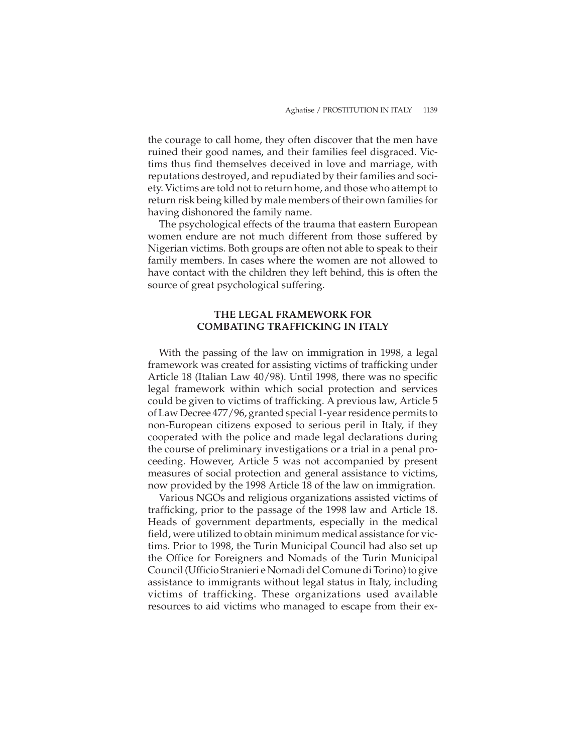the courage to call home, they often discover that the men have ruined their good names, and their families feel disgraced. Victims thus find themselves deceived in love and marriage, with reputations destroyed, and repudiated by their families and society. Victims are told not to return home, and those who attempt to return risk being killed by male members of their own families for having dishonored the family name.

The psychological effects of the trauma that eastern European women endure are not much different from those suffered by Nigerian victims. Both groups are often not able to speak to their family members. In cases where the women are not allowed to have contact with the children they left behind, this is often the source of great psychological suffering.

### **THE LEGAL FRAMEWORK FOR COMBATING TRAFFICKING IN ITALY**

With the passing of the law on immigration in 1998, a legal framework was created for assisting victims of trafficking under Article 18 (Italian Law 40/98). Until 1998, there was no specific legal framework within which social protection and services could be given to victims of trafficking. A previous law, Article 5 of Law Decree 477/96, granted special 1-year residence permits to non-European citizens exposed to serious peril in Italy, if they cooperated with the police and made legal declarations during the course of preliminary investigations or a trial in a penal proceeding. However, Article 5 was not accompanied by present measures of social protection and general assistance to victims, now provided by the 1998 Article 18 of the law on immigration.

Various NGOs and religious organizations assisted victims of trafficking, prior to the passage of the 1998 law and Article 18. Heads of government departments, especially in the medical field, were utilized to obtain minimum medical assistance for victims. Prior to 1998, the Turin Municipal Council had also set up the Office for Foreigners and Nomads of the Turin Municipal Council (Ufficio Stranieri e Nomadi del Comune di Torino) to give assistance to immigrants without legal status in Italy, including victims of trafficking. These organizations used available resources to aid victims who managed to escape from their ex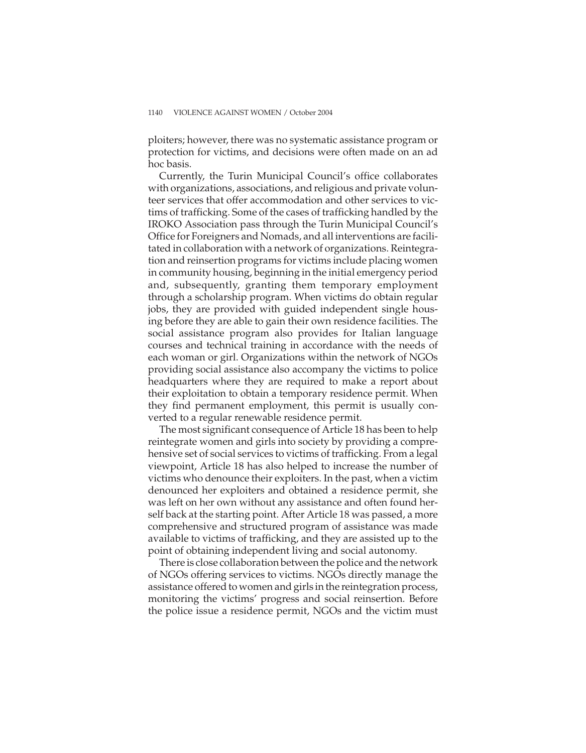ploiters; however, there was no systematic assistance program or protection for victims, and decisions were often made on an ad hoc basis.

Currently, the Turin Municipal Council's office collaborates with organizations, associations, and religious and private volunteer services that offer accommodation and other services to victims of trafficking. Some of the cases of trafficking handled by the IROKO Association pass through the Turin Municipal Council's Office for Foreigners and Nomads, and all interventions are facilitated in collaboration with a network of organizations. Reintegration and reinsertion programs for victims include placing women in community housing, beginning in the initial emergency period and, subsequently, granting them temporary employment through a scholarship program. When victims do obtain regular jobs, they are provided with guided independent single housing before they are able to gain their own residence facilities. The social assistance program also provides for Italian language courses and technical training in accordance with the needs of each woman or girl. Organizations within the network of NGOs providing social assistance also accompany the victims to police headquarters where they are required to make a report about their exploitation to obtain a temporary residence permit. When they find permanent employment, this permit is usually converted to a regular renewable residence permit.

The most significant consequence of Article 18 has been to help reintegrate women and girls into society by providing a comprehensive set of social services to victims of trafficking. From a legal viewpoint, Article 18 has also helped to increase the number of victims who denounce their exploiters. In the past, when a victim denounced her exploiters and obtained a residence permit, she was left on her own without any assistance and often found herself back at the starting point. After Article 18 was passed, a more comprehensive and structured program of assistance was made available to victims of trafficking, and they are assisted up to the point of obtaining independent living and social autonomy.

There is close collaboration between the police and the network of NGOs offering services to victims. NGOs directly manage the assistance offered to women and girls in the reintegration process, monitoring the victims' progress and social reinsertion. Before the police issue a residence permit, NGOs and the victim must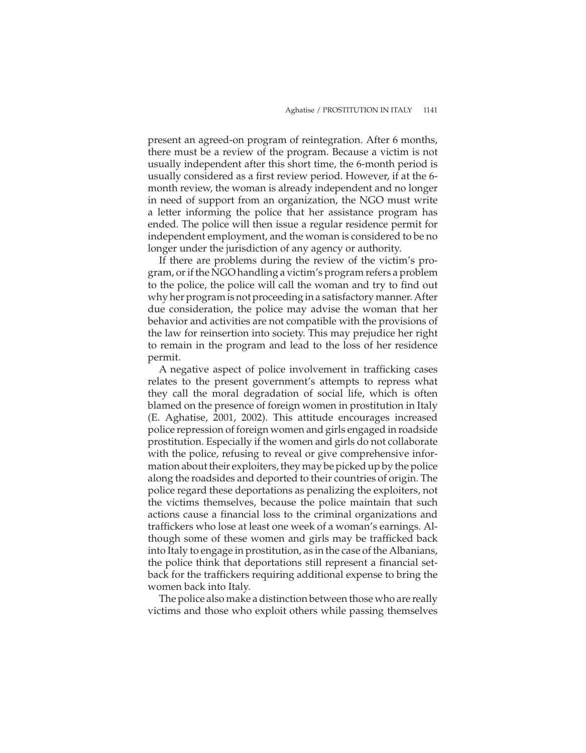present an agreed-on program of reintegration. After 6 months, there must be a review of the program. Because a victim is not usually independent after this short time, the 6-month period is usually considered as a first review period. However, if at the 6 month review, the woman is already independent and no longer in need of support from an organization, the NGO must write a letter informing the police that her assistance program has ended. The police will then issue a regular residence permit for independent employment, and the woman is considered to be no longer under the jurisdiction of any agency or authority.

If there are problems during the review of the victim's program, or if the NGO handling a victim's program refers a problem to the police, the police will call the woman and try to find out why her program is not proceeding in a satisfactory manner. After due consideration, the police may advise the woman that her behavior and activities are not compatible with the provisions of the law for reinsertion into society. This may prejudice her right to remain in the program and lead to the loss of her residence permit.

A negative aspect of police involvement in trafficking cases relates to the present government's attempts to repress what they call the moral degradation of social life, which is often blamed on the presence of foreign women in prostitution in Italy (E. Aghatise, 2001, 2002). This attitude encourages increased police repression of foreign women and girls engaged in roadside prostitution. Especially if the women and girls do not collaborate with the police, refusing to reveal or give comprehensive information about their exploiters, they may be picked up by the police along the roadsides and deported to their countries of origin. The police regard these deportations as penalizing the exploiters, not the victims themselves, because the police maintain that such actions cause a financial loss to the criminal organizations and traffickers who lose at least one week of a woman's earnings. Although some of these women and girls may be trafficked back into Italy to engage in prostitution, as in the case of the Albanians, the police think that deportations still represent a financial setback for the traffickers requiring additional expense to bring the women back into Italy.

The police also make a distinction between those who are really victims and those who exploit others while passing themselves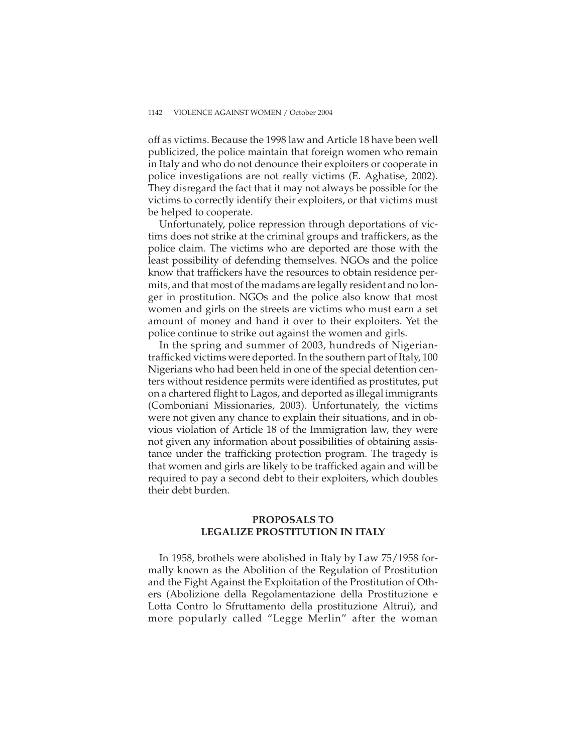off as victims. Because the 1998 law and Article 18 have been well publicized, the police maintain that foreign women who remain in Italy and who do not denounce their exploiters or cooperate in police investigations are not really victims (E. Aghatise, 2002). They disregard the fact that it may not always be possible for the victims to correctly identify their exploiters, or that victims must be helped to cooperate.

Unfortunately, police repression through deportations of victims does not strike at the criminal groups and traffickers, as the police claim. The victims who are deported are those with the least possibility of defending themselves. NGOs and the police know that traffickers have the resources to obtain residence permits, and that most of the madams are legally resident and no longer in prostitution. NGOs and the police also know that most women and girls on the streets are victims who must earn a set amount of money and hand it over to their exploiters. Yet the police continue to strike out against the women and girls.

In the spring and summer of 2003, hundreds of Nigeriantrafficked victims were deported. In the southern part of Italy, 100 Nigerians who had been held in one of the special detention centers without residence permits were identified as prostitutes, put on a chartered flight to Lagos, and deported as illegal immigrants (Comboniani Missionaries, 2003). Unfortunately, the victims were not given any chance to explain their situations, and in obvious violation of Article 18 of the Immigration law, they were not given any information about possibilities of obtaining assistance under the trafficking protection program. The tragedy is that women and girls are likely to be trafficked again and will be required to pay a second debt to their exploiters, which doubles their debt burden.

## **PROPOSALS TO LEGALIZE PROSTITUTION IN ITALY**

In 1958, brothels were abolished in Italy by Law 75/1958 formally known as the Abolition of the Regulation of Prostitution and the Fight Against the Exploitation of the Prostitution of Others (Abolizione della Regolamentazione della Prostituzione e Lotta Contro lo Sfruttamento della prostituzione Altrui), and more popularly called "Legge Merlin" after the woman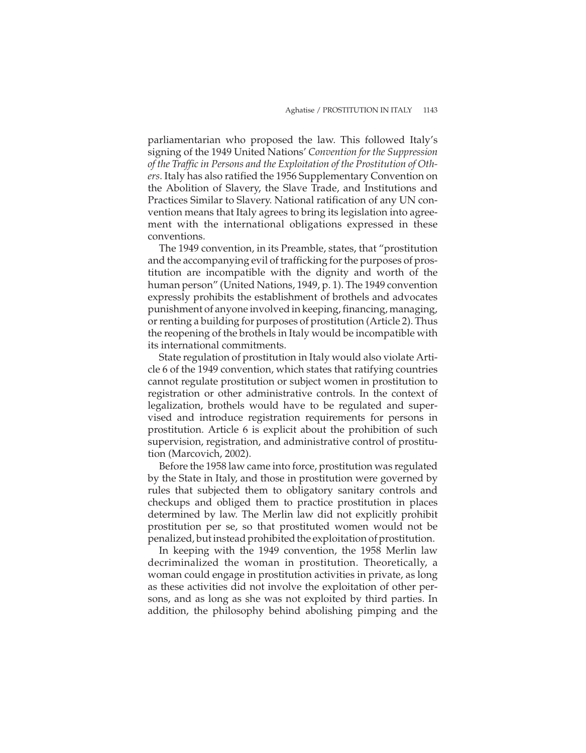parliamentarian who proposed the law. This followed Italy's signing of the 1949 United Nations' *Convention for the Suppression of the Traffic in Persons and the Exploitation of the Prostitution of Others*. Italy has also ratified the 1956 Supplementary Convention on the Abolition of Slavery, the Slave Trade, and Institutions and Practices Similar to Slavery. National ratification of any UN convention means that Italy agrees to bring its legislation into agreement with the international obligations expressed in these conventions.

The 1949 convention, in its Preamble, states, that "prostitution and the accompanying evil of trafficking for the purposes of prostitution are incompatible with the dignity and worth of the human person" (United Nations, 1949, p. 1). The 1949 convention expressly prohibits the establishment of brothels and advocates punishment of anyone involved in keeping, financing, managing, or renting a building for purposes of prostitution (Article 2). Thus the reopening of the brothels in Italy would be incompatible with its international commitments.

State regulation of prostitution in Italy would also violate Article 6 of the 1949 convention, which states that ratifying countries cannot regulate prostitution or subject women in prostitution to registration or other administrative controls. In the context of legalization, brothels would have to be regulated and supervised and introduce registration requirements for persons in prostitution. Article 6 is explicit about the prohibition of such supervision, registration, and administrative control of prostitution (Marcovich, 2002).

Before the 1958 law came into force, prostitution was regulated by the State in Italy, and those in prostitution were governed by rules that subjected them to obligatory sanitary controls and checkups and obliged them to practice prostitution in places determined by law. The Merlin law did not explicitly prohibit prostitution per se, so that prostituted women would not be penalized, but instead prohibited the exploitation of prostitution.

In keeping with the 1949 convention, the 1958 Merlin law decriminalized the woman in prostitution. Theoretically, a woman could engage in prostitution activities in private, as long as these activities did not involve the exploitation of other persons, and as long as she was not exploited by third parties. In addition, the philosophy behind abolishing pimping and the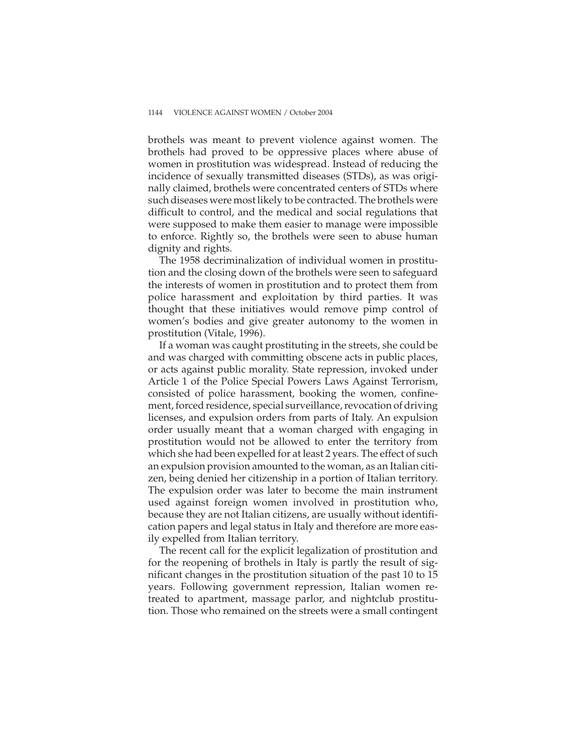brothels was meant to prevent violence against women. The brothels had proved to be oppressive places where abuse of women in prostitution was widespread. Instead of reducing the incidence of sexually transmitted diseases (STDs), as was originally claimed, brothels were concentrated centers of STDs where such diseases were most likely to be contracted. The brothels were difficult to control, and the medical and social regulations that were supposed to make them easier to manage were impossible to enforce. Rightly so, the brothels were seen to abuse human dignity and rights.

The 1958 decriminalization of individual women in prostitution and the closing down of the brothels were seen to safeguard the interests of women in prostitution and to protect them from police harassment and exploitation by third parties. It was thought that these initiatives would remove pimp control of women's bodies and give greater autonomy to the women in prostitution (Vitale, 1996).

If a woman was caught prostituting in the streets, she could be and was charged with committing obscene acts in public places, or acts against public morality. State repression, invoked under Article 1 of the Police Special Powers Laws Against Terrorism, consisted of police harassment, booking the women, confinement, forced residence, special surveillance, revocation of driving licenses, and expulsion orders from parts of Italy. An expulsion order usually meant that a woman charged with engaging in prostitution would not be allowed to enter the territory from which she had been expelled for at least 2 years. The effect of such an expulsion provision amounted to the woman, as an Italian citizen, being denied her citizenship in a portion of Italian territory. The expulsion order was later to become the main instrument used against foreign women involved in prostitution who, because they are not Italian citizens, are usually without identification papers and legal status in Italy and therefore are more easily expelled from Italian territory.

The recent call for the explicit legalization of prostitution and for the reopening of brothels in Italy is partly the result of significant changes in the prostitution situation of the past 10 to 15 years. Following government repression, Italian women retreated to apartment, massage parlor, and nightclub prostitution. Those who remained on the streets were a small contingent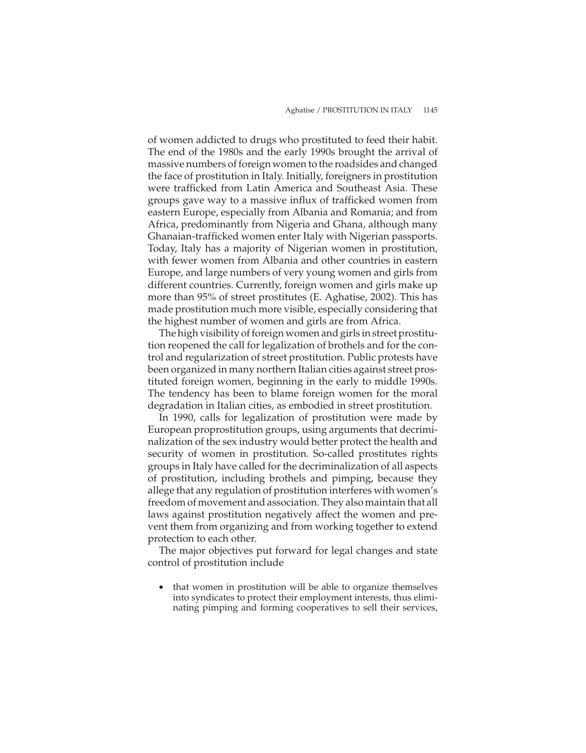of women addicted to drugs who prostituted to feed their habit. The end of the 1980s and the early 1990s brought the arrival of massive numbers of foreign women to the roadsides and changed the face of prostitution in Italy. Initially, foreigners in prostitution were trafficked from Latin America and Southeast Asia. These groups gave way to a massive influx of trafficked women from eastern Europe, especially from Albania and Romania; and from Africa, predominantly from Nigeria and Ghana, although many Ghanaian-trafficked women enter Italy with Nigerian passports. Today, Italy has a majority of Nigerian women in prostitution, with fewer women from Albania and other countries in eastern Europe, and large numbers of very young women and girls from different countries. Currently, foreign women and girls make up more than 95% of street prostitutes (E. Aghatise, 2002). This has made prostitution much more visible, especially considering that the highest number of women and girls are from Africa.

The high visibility of foreign women and girls in street prostitution reopened the call for legalization of brothels and for the control and regularization of street prostitution. Public protests have been organized in many northern Italian cities against street prostituted foreign women, beginning in the early to middle 1990s. The tendency has been to blame foreign women for the moral degradation in Italian cities, as embodied in street prostitution.

In 1990, calls for legalization of prostitution were made by European proprostitution groups, using arguments that decriminalization of the sex industry would better protect the health and security of women in prostitution. So-called prostitutes rights groups in Italy have called for the decriminalization of all aspects of prostitution, including brothels and pimping, because they allege that any regulation of prostitution interferes with women's freedom of movement and association. They also maintain that all laws against prostitution negatively affect the women and prevent them from organizing and from working together to extend protection to each other.

The major objectives put forward for legal changes and state control of prostitution include

• that women in prostitution will be able to organize themselves into syndicates to protect their employment interests, thus eliminating pimping and forming cooperatives to sell their services,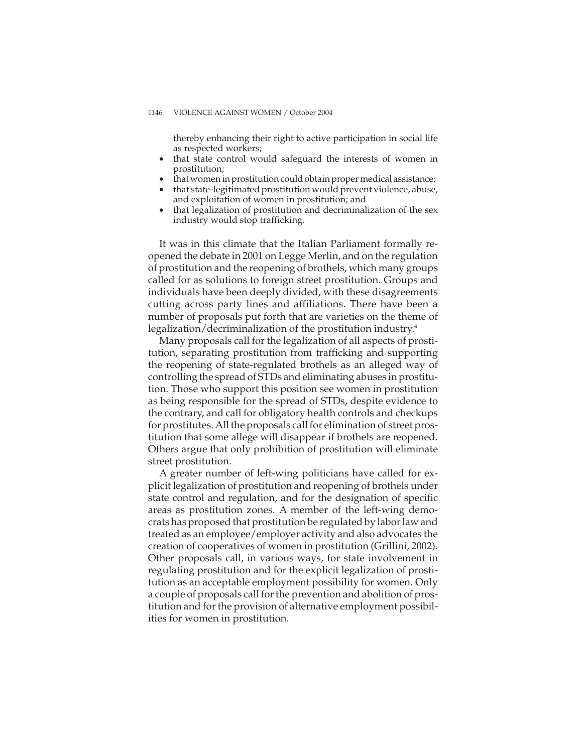#### 1146 VIOLENCE AGAINST WOMEN / October 2004

thereby enhancing their right to active participation in social life as respected workers;

- that state control would safeguard the interests of women in prostitution;
- that women in prostitution could obtain proper medical assistance;
- that state-legitimated prostitution would prevent violence, abuse, and exploitation of women in prostitution; and
- that legalization of prostitution and decriminalization of the sex industry would stop trafficking.

It was in this climate that the Italian Parliament formally reopened the debate in 2001 on Legge Merlin, and on the regulation of prostitution and the reopening of brothels, which many groups called for as solutions to foreign street prostitution. Groups and individuals have been deeply divided, with these disagreements cutting across party lines and affiliations. There have been a number of proposals put forth that are varieties on the theme of legalization/decriminalization of the prostitution industry.<sup>4</sup>

Many proposals call for the legalization of all aspects of prostitution, separating prostitution from trafficking and supporting the reopening of state-regulated brothels as an alleged way of controlling the spread of STDs and eliminating abuses in prostitution. Those who support this position see women in prostitution as being responsible for the spread of STDs, despite evidence to the contrary, and call for obligatory health controls and checkups for prostitutes. All the proposals call for elimination of street prostitution that some allege will disappear if brothels are reopened. Others argue that only prohibition of prostitution will eliminate street prostitution.

A greater number of left-wing politicians have called for explicit legalization of prostitution and reopening of brothels under state control and regulation, and for the designation of specific areas as prostitution zones. A member of the left-wing democrats has proposed that prostitution be regulated by labor law and treated as an employee/employer activity and also advocates the creation of cooperatives of women in prostitution (Grillini, 2002). Other proposals call, in various ways, for state involvement in regulating prostitution and for the explicit legalization of prostitution as an acceptable employment possibility for women. Only a couple of proposals call for the prevention and abolition of prostitution and for the provision of alternative employment possibilities for women in prostitution.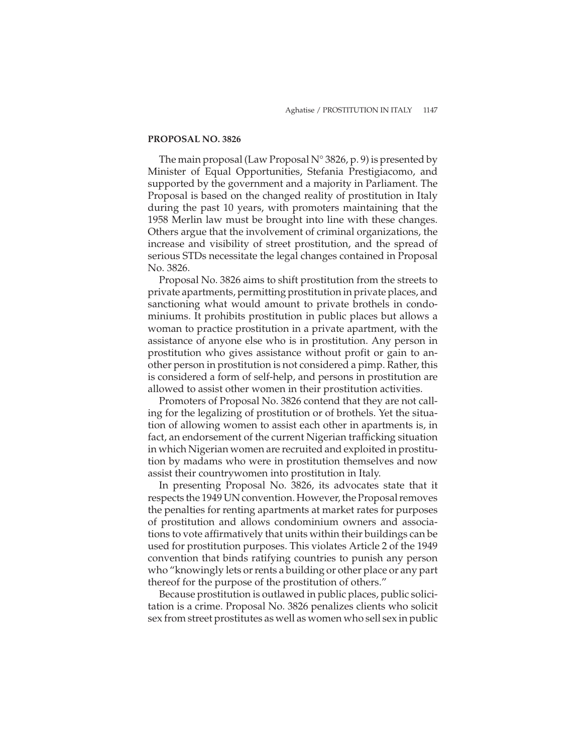### **PROPOSAL NO. 3826**

The main proposal (Law Proposal  $N^{\circ}$  3826, p. 9) is presented by Minister of Equal Opportunities, Stefania Prestigiacomo, and supported by the government and a majority in Parliament. The Proposal is based on the changed reality of prostitution in Italy during the past 10 years, with promoters maintaining that the 1958 Merlin law must be brought into line with these changes. Others argue that the involvement of criminal organizations, the increase and visibility of street prostitution, and the spread of serious STDs necessitate the legal changes contained in Proposal No. 3826.

Proposal No. 3826 aims to shift prostitution from the streets to private apartments, permitting prostitution in private places, and sanctioning what would amount to private brothels in condominiums. It prohibits prostitution in public places but allows a woman to practice prostitution in a private apartment, with the assistance of anyone else who is in prostitution. Any person in prostitution who gives assistance without profit or gain to another person in prostitution is not considered a pimp. Rather, this is considered a form of self-help, and persons in prostitution are allowed to assist other women in their prostitution activities.

Promoters of Proposal No. 3826 contend that they are not calling for the legalizing of prostitution or of brothels. Yet the situation of allowing women to assist each other in apartments is, in fact, an endorsement of the current Nigerian trafficking situation in which Nigerian women are recruited and exploited in prostitution by madams who were in prostitution themselves and now assist their countrywomen into prostitution in Italy.

In presenting Proposal No. 3826, its advocates state that it respects the 1949 UN convention. However, the Proposal removes the penalties for renting apartments at market rates for purposes of prostitution and allows condominium owners and associations to vote affirmatively that units within their buildings can be used for prostitution purposes. This violates Article 2 of the 1949 convention that binds ratifying countries to punish any person who "knowingly lets or rents a building or other place or any part thereof for the purpose of the prostitution of others."

Because prostitution is outlawed in public places, public solicitation is a crime. Proposal No. 3826 penalizes clients who solicit sex from street prostitutes as well as women who sell sex in public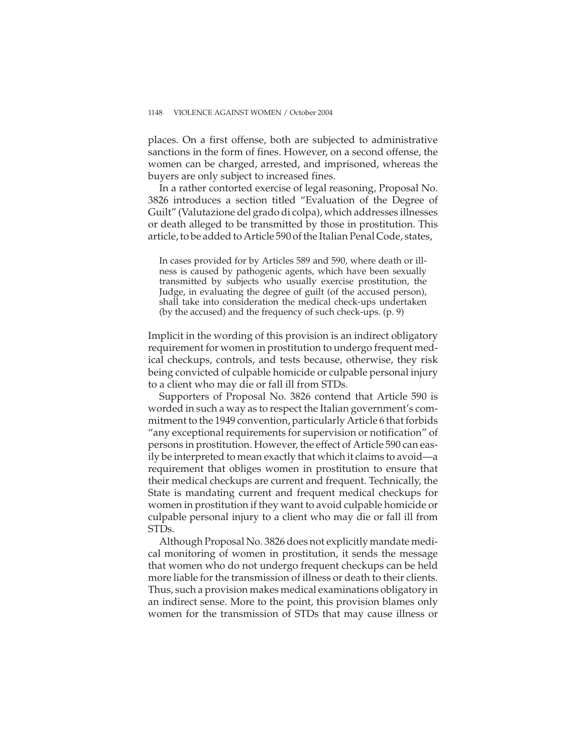places. On a first offense, both are subjected to administrative sanctions in the form of fines. However, on a second offense, the women can be charged, arrested, and imprisoned, whereas the buyers are only subject to increased fines.

In a rather contorted exercise of legal reasoning, Proposal No. 3826 introduces a section titled "Evaluation of the Degree of Guilt" (Valutazione del grado di colpa), which addresses illnesses or death alleged to be transmitted by those in prostitution. This article, to be added to Article 590 of the Italian Penal Code, states,

In cases provided for by Articles 589 and 590, where death or illness is caused by pathogenic agents, which have been sexually transmitted by subjects who usually exercise prostitution, the Judge, in evaluating the degree of guilt (of the accused person), shall take into consideration the medical check-ups undertaken (by the accused) and the frequency of such check-ups. (p. 9)

Implicit in the wording of this provision is an indirect obligatory requirement for women in prostitution to undergo frequent medical checkups, controls, and tests because, otherwise, they risk being convicted of culpable homicide or culpable personal injury to a client who may die or fall ill from STDs.

Supporters of Proposal No. 3826 contend that Article 590 is worded in such a way as to respect the Italian government's commitment to the 1949 convention, particularly Article 6 that forbids "any exceptional requirements for supervision or notification" of persons in prostitution. However, the effect of Article 590 can easily be interpreted to mean exactly that which it claims to avoid—a requirement that obliges women in prostitution to ensure that their medical checkups are current and frequent. Technically, the State is mandating current and frequent medical checkups for women in prostitution if they want to avoid culpable homicide or culpable personal injury to a client who may die or fall ill from STDs.

Although Proposal No. 3826 does not explicitly mandate medical monitoring of women in prostitution, it sends the message that women who do not undergo frequent checkups can be held more liable for the transmission of illness or death to their clients. Thus, such a provision makes medical examinations obligatory in an indirect sense. More to the point, this provision blames only women for the transmission of STDs that may cause illness or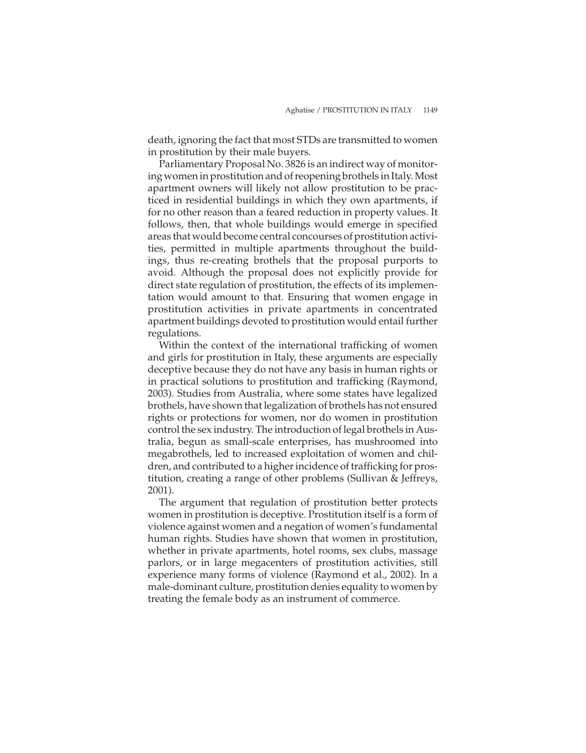death, ignoring the fact that most STDs are transmitted to women in prostitution by their male buyers.

Parliamentary Proposal No. 3826 is an indirect way of monitoring women in prostitution and of reopening brothels in Italy. Most apartment owners will likely not allow prostitution to be practiced in residential buildings in which they own apartments, if for no other reason than a feared reduction in property values. It follows, then, that whole buildings would emerge in specified areas that would become central concourses of prostitution activities, permitted in multiple apartments throughout the buildings, thus re-creating brothels that the proposal purports to avoid. Although the proposal does not explicitly provide for direct state regulation of prostitution, the effects of its implementation would amount to that. Ensuring that women engage in prostitution activities in private apartments in concentrated apartment buildings devoted to prostitution would entail further regulations.

Within the context of the international trafficking of women and girls for prostitution in Italy, these arguments are especially deceptive because they do not have any basis in human rights or in practical solutions to prostitution and trafficking (Raymond, 2003). Studies from Australia, where some states have legalized brothels, have shown that legalization of brothels has not ensured rights or protections for women, nor do women in prostitution control the sex industry. The introduction of legal brothels in Australia, begun as small-scale enterprises, has mushroomed into megabrothels, led to increased exploitation of women and children, and contributed to a higher incidence of trafficking for prostitution, creating a range of other problems (Sullivan & Jeffreys, 2001).

The argument that regulation of prostitution better protects women in prostitution is deceptive. Prostitution itself is a form of violence against women and a negation of women's fundamental human rights. Studies have shown that women in prostitution, whether in private apartments, hotel rooms, sex clubs, massage parlors, or in large megacenters of prostitution activities, still experience many forms of violence (Raymond et al., 2002). In a male-dominant culture, prostitution denies equality to women by treating the female body as an instrument of commerce.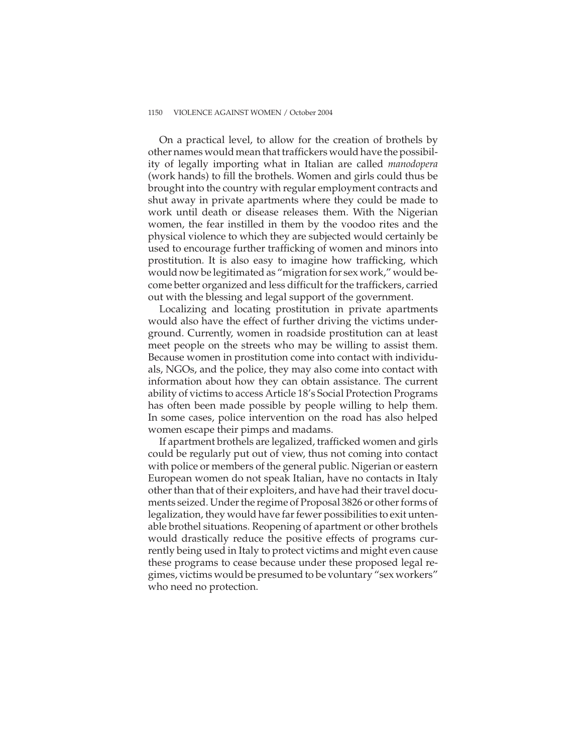#### 1150 VIOLENCE AGAINST WOMEN / October 2004

On a practical level, to allow for the creation of brothels by other names would mean that traffickers would have the possibility of legally importing what in Italian are called *manodopera* (work hands) to fill the brothels. Women and girls could thus be brought into the country with regular employment contracts and shut away in private apartments where they could be made to work until death or disease releases them. With the Nigerian women, the fear instilled in them by the voodoo rites and the physical violence to which they are subjected would certainly be used to encourage further trafficking of women and minors into prostitution. It is also easy to imagine how trafficking, which would now be legitimated as "migration for sex work," would become better organized and less difficult for the traffickers, carried out with the blessing and legal support of the government.

Localizing and locating prostitution in private apartments would also have the effect of further driving the victims underground. Currently, women in roadside prostitution can at least meet people on the streets who may be willing to assist them. Because women in prostitution come into contact with individuals, NGOs, and the police, they may also come into contact with information about how they can obtain assistance. The current ability of victims to access Article 18's Social Protection Programs has often been made possible by people willing to help them. In some cases, police intervention on the road has also helped women escape their pimps and madams.

If apartment brothels are legalized, trafficked women and girls could be regularly put out of view, thus not coming into contact with police or members of the general public. Nigerian or eastern European women do not speak Italian, have no contacts in Italy other than that of their exploiters, and have had their travel documents seized. Under the regime of Proposal 3826 or other forms of legalization, they would have far fewer possibilities to exit untenable brothel situations. Reopening of apartment or other brothels would drastically reduce the positive effects of programs currently being used in Italy to protect victims and might even cause these programs to cease because under these proposed legal regimes, victims would be presumed to be voluntary "sex workers" who need no protection.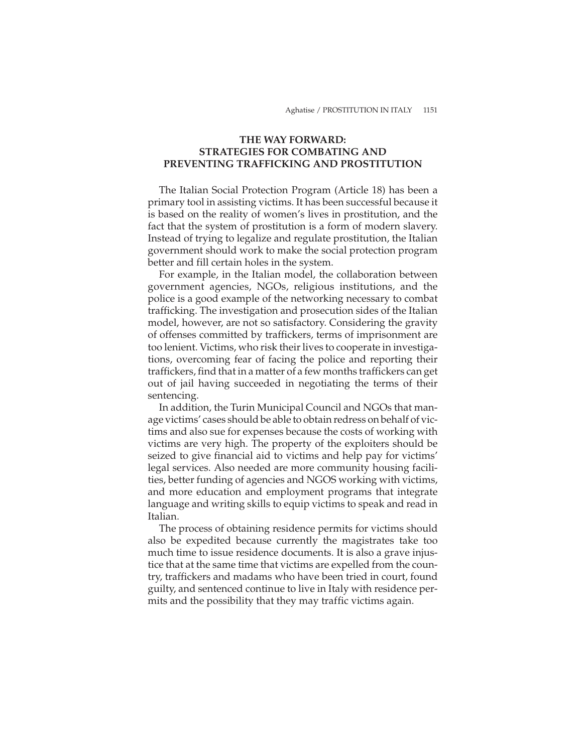# **THE WAY FORWARD: STRATEGIES FOR COMBATING AND PREVENTING TRAFFICKING AND PROSTITUTION**

The Italian Social Protection Program (Article 18) has been a primary tool in assisting victims. It has been successful because it is based on the reality of women's lives in prostitution, and the fact that the system of prostitution is a form of modern slavery. Instead of trying to legalize and regulate prostitution, the Italian government should work to make the social protection program better and fill certain holes in the system.

For example, in the Italian model, the collaboration between government agencies, NGOs, religious institutions, and the police is a good example of the networking necessary to combat trafficking. The investigation and prosecution sides of the Italian model, however, are not so satisfactory. Considering the gravity of offenses committed by traffickers, terms of imprisonment are too lenient. Victims, who risk their lives to cooperate in investigations, overcoming fear of facing the police and reporting their traffickers, find that in a matter of a few months traffickers can get out of jail having succeeded in negotiating the terms of their sentencing.

In addition, the Turin Municipal Council and NGOs that manage victims' cases should be able to obtain redress on behalf of victims and also sue for expenses because the costs of working with victims are very high. The property of the exploiters should be seized to give financial aid to victims and help pay for victims' legal services. Also needed are more community housing facilities, better funding of agencies and NGOS working with victims, and more education and employment programs that integrate language and writing skills to equip victims to speak and read in Italian.

The process of obtaining residence permits for victims should also be expedited because currently the magistrates take too much time to issue residence documents. It is also a grave injustice that at the same time that victims are expelled from the country, traffickers and madams who have been tried in court, found guilty, and sentenced continue to live in Italy with residence permits and the possibility that they may traffic victims again.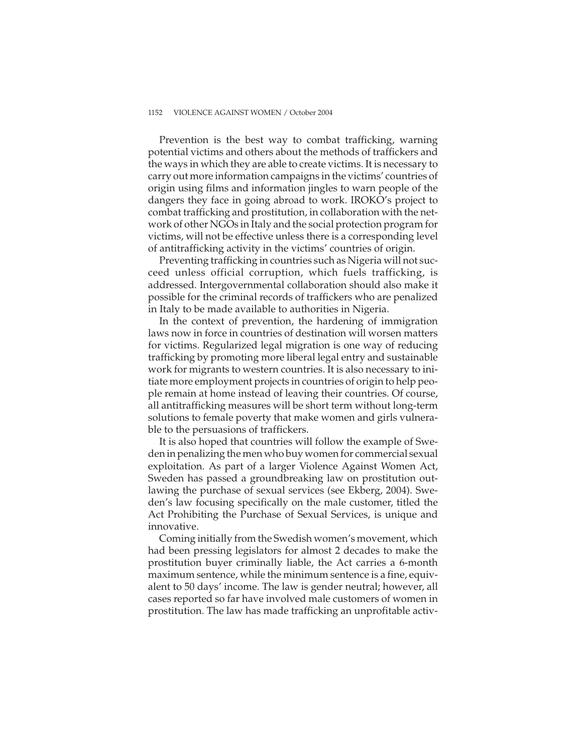#### 1152 VIOLENCE AGAINST WOMEN / October 2004

Prevention is the best way to combat trafficking, warning potential victims and others about the methods of traffickers and the ways in which they are able to create victims. It is necessary to carry out more information campaigns in the victims' countries of origin using films and information jingles to warn people of the dangers they face in going abroad to work. IROKO's project to combat trafficking and prostitution, in collaboration with the network of other NGOs in Italy and the social protection program for victims, will not be effective unless there is a corresponding level of antitrafficking activity in the victims' countries of origin.

Preventing trafficking in countries such as Nigeria will not succeed unless official corruption, which fuels trafficking, is addressed. Intergovernmental collaboration should also make it possible for the criminal records of traffickers who are penalized in Italy to be made available to authorities in Nigeria.

In the context of prevention, the hardening of immigration laws now in force in countries of destination will worsen matters for victims. Regularized legal migration is one way of reducing trafficking by promoting more liberal legal entry and sustainable work for migrants to western countries. It is also necessary to initiate more employment projects in countries of origin to help people remain at home instead of leaving their countries. Of course, all antitrafficking measures will be short term without long-term solutions to female poverty that make women and girls vulnerable to the persuasions of traffickers.

It is also hoped that countries will follow the example of Sweden in penalizing the men who buy women for commercial sexual exploitation. As part of a larger Violence Against Women Act, Sweden has passed a groundbreaking law on prostitution outlawing the purchase of sexual services (see Ekberg, 2004). Sweden's law focusing specifically on the male customer, titled the Act Prohibiting the Purchase of Sexual Services, is unique and innovative.

Coming initially from the Swedish women's movement, which had been pressing legislators for almost 2 decades to make the prostitution buyer criminally liable, the Act carries a 6-month maximum sentence, while the minimum sentence is a fine, equivalent to 50 days' income. The law is gender neutral; however, all cases reported so far have involved male customers of women in prostitution. The law has made trafficking an unprofitable activ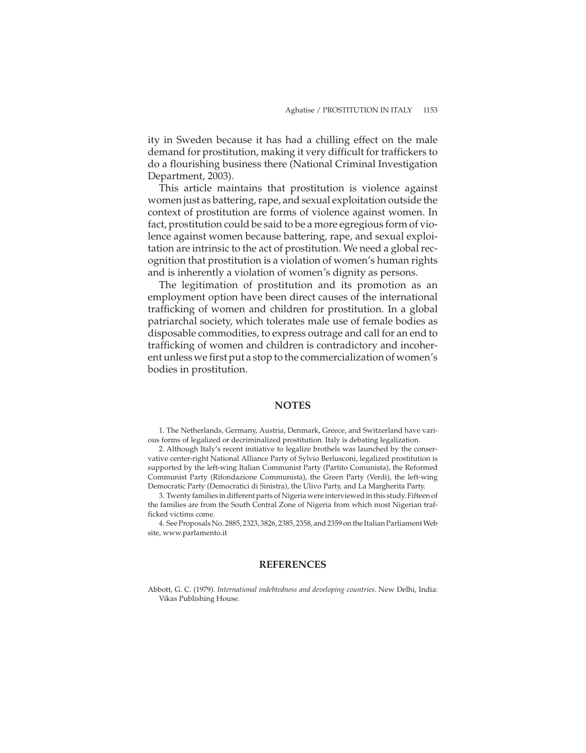ity in Sweden because it has had a chilling effect on the male demand for prostitution, making it very difficult for traffickers to do a flourishing business there (National Criminal Investigation Department, 2003).

This article maintains that prostitution is violence against women just as battering, rape, and sexual exploitation outside the context of prostitution are forms of violence against women. In fact, prostitution could be said to be a more egregious form of violence against women because battering, rape, and sexual exploitation are intrinsic to the act of prostitution. We need a global recognition that prostitution is a violation of women's human rights and is inherently a violation of women's dignity as persons.

The legitimation of prostitution and its promotion as an employment option have been direct causes of the international trafficking of women and children for prostitution. In a global patriarchal society, which tolerates male use of female bodies as disposable commodities, to express outrage and call for an end to trafficking of women and children is contradictory and incoherent unless we first put a stop to the commercialization of women's bodies in prostitution.

### **NOTES**

1. The Netherlands, Germany, Austria, Denmark, Greece, and Switzerland have various forms of legalized or decriminalized prostitution. Italy is debating legalization.

2. Although Italy's recent initiative to legalize brothels was launched by the conservative center-right National Alliance Party of Sylvio Berlusconi, legalized prostitution is supported by the left-wing Italian Communist Party (Partito Comunista), the Reformed Communist Party (Rifondazione Communista), the Green Party (Verdi), the left-wing Democratic Party (Democratici di Sinistra), the Ulivo Party, and La Margherita Party.

3. Twenty families in different parts of Nigeria were interviewed in this study. Fifteen of the families are from the South Central Zone of Nigeria from which most Nigerian trafficked victims come.

4. See Proposals No. 2885, 2323, 3826, 2385, 2358, and 2359 on the Italian Parliament Web site, www.parlamento.it

### **REFERENCES**

Abbott, G. C. (1979). *International indebtedness and developing countries*. New Delhi, India: Vikas Publishing House.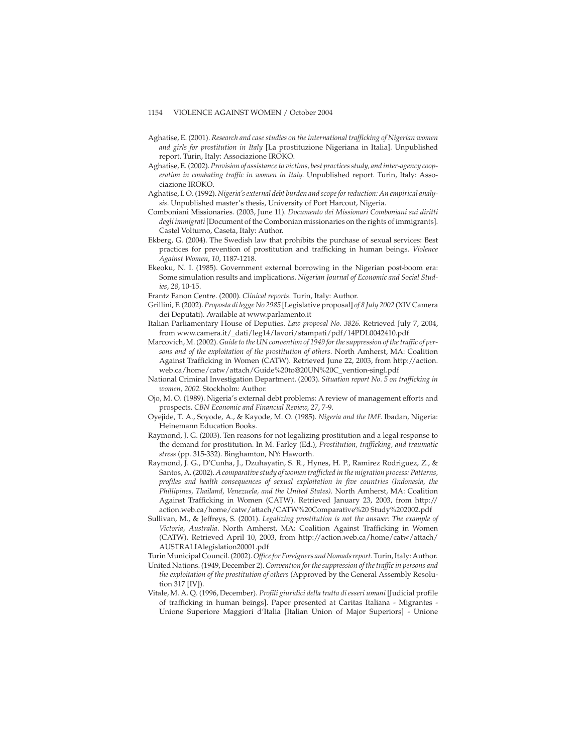#### 1154 VIOLENCE AGAINST WOMEN / October 2004

- Aghatise, E. (2001). *Research and case studies on the international trafficking of Nigerian women and girls for prostitution in Italy* [La prostituzione Nigeriana in Italia]. Unpublished report. Turin, Italy: Associazione IROKO.
- Aghatise, E. (2002).*Provision of assistance to victims, best practices study, and inter-agency cooperation in combating traffic in women in Italy*. Unpublished report. Turin, Italy: Associazione IROKO.
- Aghatise, I. O. (1992).*Nigeria's external debt burden and scope for reduction: An empirical analysis*. Unpublished master's thesis, University of Port Harcout, Nigeria.
- Comboniani Missionaries. (2003, June 11). *Documento dei Missionari Comboniani sui diritti degli immigrati*[Document of the Combonian missionaries on the rights of immigrants]. Castel Volturno, Caseta, Italy: Author.
- Ekberg, G. (2004). The Swedish law that prohibits the purchase of sexual services: Best practices for prevention of prostitution and trafficking in human beings. *Violence Against Women*, *10*, 1187-1218.
- Ekeoku, N. I. (1985). Government external borrowing in the Nigerian post-boom era: Some simulation results and implications. *Nigerian Journal of Economic and Social Studies*, *28*, 10-15.
- Frantz Fanon Centre. (2000). *Clinical reports*. Turin, Italy: Author.
- Grillini, F. (2002).*Proposta di legge No 2985* [Legislative proposal] *of 8 July 2002* (XIV Camera dei Deputati). Available at www.parlamento.it
- Italian Parliamentary House of Deputies. *Law proposal No. 3826*. Retrieved July 7, 2004, from www.camera.it/\_dati/leg14/lavori/stampati/pdf/14PDL0042410.pdf
- Marcovich, M. (2002). *Guide to the UN convention of 1949 for the suppression of the traffic of persons and of the exploitation of the prostitution of others*. North Amherst, MA: Coalition Against Trafficking in Women (CATW). Retrieved June 22, 2003, from http://action. web.ca/home/catw/attach/Guide%20to@20UN%20C\_vention-singl.pdf
- National Criminal Investigation Department. (2003). *Situation report No. 5 on trafficking in women, 2002*. Stockholm: Author.
- Ojo, M. O. (1989). Nigeria's external debt problems: A review of management efforts and prospects. *CBN Economic and Financial Review*, *27*, 7-9.
- Oyejide, T. A., Soyode, A., & Kayode, M. O. (1985). *Nigeria and the IMF*. Ibadan, Nigeria: Heinemann Education Books.
- Raymond, J. G. (2003). Ten reasons for not legalizing prostitution and a legal response to the demand for prostitution. In M. Farley (Ed.), *Prostitution, trafficking, and traumatic stress* (pp. 315-332). Binghamton, NY: Haworth.
- Raymond, J. G., D'Cunha, J., Dzuhayatin, S. R., Hynes, H. P., Ramirez Rodriguez, Z., & Santos, A. (2002). *A comparative study of women trafficked in the migration process: Patterns, profiles and health consequences of sexual exploitation in five countries (Indonesia, the Phillipines, Thailand, Venezuela, and the United States)*. North Amherst, MA: Coalition Against Trafficking in Women (CATW). Retrieved January 23, 2003, from http:// action.web.ca/home/catw/attach/CATW%20Comparative%20 Study%202002.pdf
- Sullivan, M., & Jeffreys, S. (2001). *Legalizing prostitution is not the answer: The example of Victoria, Australia*. North Amherst, MA: Coalition Against Trafficking in Women (CATW). Retrieved April 10, 2003, from http://action.web.ca/home/catw/attach/ AUSTRALIAlegislation20001.pdf
- Turin Municipal Council. (2002).*Office for Foreigners and Nomads report*. Turin, Italy: Author.
- United Nations. (1949, December 2). *Convention for the suppression of the traffic in persons and the exploitation of the prostitution of others* (Approved by the General Assembly Resolution 317 [IV]).
- Vitale, M. A. Q. (1996, December). *Profili giuridici della tratta di esseri umani* [Judicial profile of trafficking in human beings]. Paper presented at Caritas Italiana - Migrantes - Unione Superiore Maggiori d'Italia [Italian Union of Major Superiors] - Unione